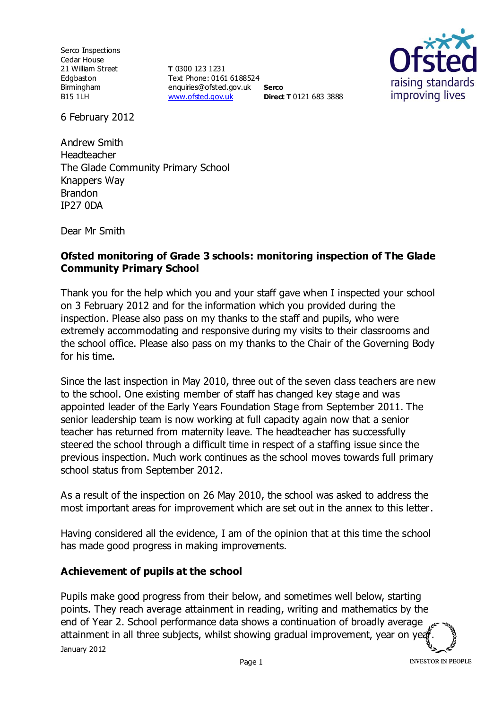Serco Inspections Cedar House 21 William Street Edgbaston Birmingham B15 1LH

**T** 0300 123 1231 Text Phone: 0161 6188524 enquiries@ofsted.gov.uk **Serco** [www.ofsted.gov.uk](http://www.ofsted.gov.uk/) **Direct T** 0121 683 3888



6 February 2012

Andrew Smith Headteacher The Glade Community Primary School Knappers Way Brandon IP27 0DA

Dear Mr Smith

#### **Ofsted monitoring of Grade 3 schools: monitoring inspection of The Glade Community Primary School**

Thank you for the help which you and your staff gave when I inspected your school on 3 February 2012 and for the information which you provided during the inspection. Please also pass on my thanks to the staff and pupils, who were extremely accommodating and responsive during my visits to their classrooms and the school office. Please also pass on my thanks to the Chair of the Governing Body for his time.

Since the last inspection in May 2010, three out of the seven class teachers are new to the school. One existing member of staff has changed key stage and was appointed leader of the Early Years Foundation Stage from September 2011. The senior leadership team is now working at full capacity again now that a senior teacher has returned from maternity leave. The headteacher has successfully steered the school through a difficult time in respect of a staffing issue since the previous inspection. Much work continues as the school moves towards full primary school status from September 2012.

As a result of the inspection on 26 May 2010, the school was asked to address the most important areas for improvement which are set out in the annex to this letter.

Having considered all the evidence, I am of the opinion that at this time the school has made good progress in making improvements.

## **Achievement of pupils at the school**

January 2012 Pupils make good progress from their below, and sometimes well below, starting points. They reach average attainment in reading, writing and mathematics by the end of Year 2. School performance data shows a continuation of broadly average attainment in all three subjects, whilst showing gradual improvement, year on yea

**INVESTOR IN PEOPLE**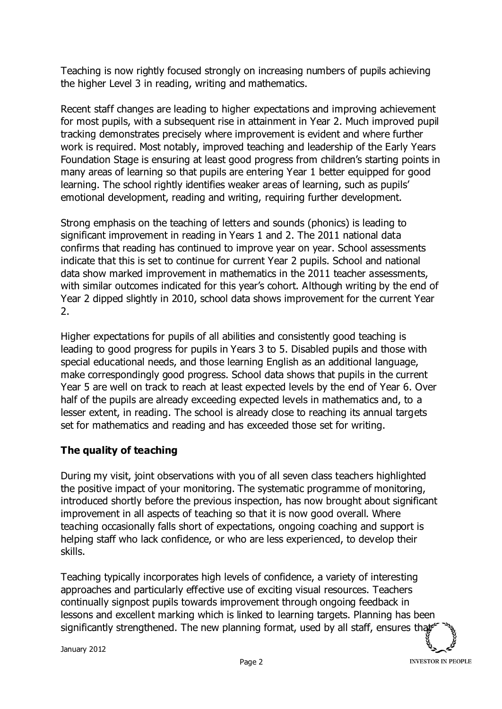Teaching is now rightly focused strongly on increasing numbers of pupils achieving the higher Level 3 in reading, writing and mathematics.

Recent staff changes are leading to higher expectations and improving achievement for most pupils, with a subsequent rise in attainment in Year 2. Much improved pupil tracking demonstrates precisely where improvement is evident and where further work is required. Most notably, improved teaching and leadership of the Early Years Foundation Stage is ensuring at least good progress from children's starting points in many areas of learning so that pupils are entering Year 1 better equipped for good learning. The school rightly identifies weaker areas of learning, such as pupils' emotional development, reading and writing, requiring further development.

Strong emphasis on the teaching of letters and sounds (phonics) is leading to significant improvement in reading in Years 1 and 2. The 2011 national data confirms that reading has continued to improve year on year. School assessments indicate that this is set to continue for current Year 2 pupils. School and national data show marked improvement in mathematics in the 2011 teacher assessments, with similar outcomes indicated for this year's cohort. Although writing by the end of Year 2 dipped slightly in 2010, school data shows improvement for the current Year 2.

Higher expectations for pupils of all abilities and consistently good teaching is leading to good progress for pupils in Years 3 to 5. Disabled pupils and those with special educational needs, and those learning English as an additional language, make correspondingly good progress. School data shows that pupils in the current Year 5 are well on track to reach at least expected levels by the end of Year 6. Over half of the pupils are already exceeding expected levels in mathematics and, to a lesser extent, in reading. The school is already close to reaching its annual targets set for mathematics and reading and has exceeded those set for writing.

# **The quality of teaching**

During my visit, joint observations with you of all seven class teachers highlighted the positive impact of your monitoring. The systematic programme of monitoring, introduced shortly before the previous inspection, has now brought about significant improvement in all aspects of teaching so that it is now good overall. Where teaching occasionally falls short of expectations, ongoing coaching and support is helping staff who lack confidence, or who are less experienced, to develop their skills.

Teaching typically incorporates high levels of confidence, a variety of interesting approaches and particularly effective use of exciting visual resources. Teachers continually signpost pupils towards improvement through ongoing feedback in lessons and excellent marking which is linked to learning targets. Planning has been significantly strengthened. The new planning format, used by all staff, ensures that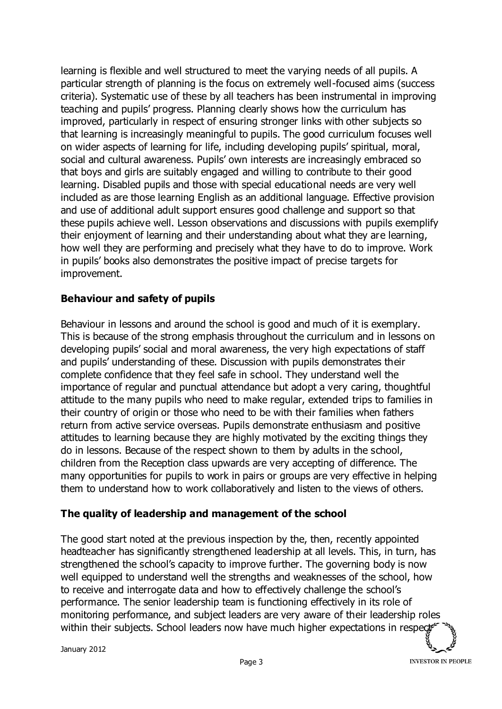learning is flexible and well structured to meet the varying needs of all pupils. A particular strength of planning is the focus on extremely well-focused aims (success criteria). Systematic use of these by all teachers has been instrumental in improving teaching and pupils' progress. Planning clearly shows how the curriculum has improved, particularly in respect of ensuring stronger links with other subjects so that learning is increasingly meaningful to pupils. The good curriculum focuses well on wider aspects of learning for life, including developing pupils' spiritual, moral, social and cultural awareness. Pupils' own interests are increasingly embraced so that boys and girls are suitably engaged and willing to contribute to their good learning. Disabled pupils and those with special educational needs are very well included as are those learning English as an additional language. Effective provision and use of additional adult support ensures good challenge and support so that these pupils achieve well. Lesson observations and discussions with pupils exemplify their enjoyment of learning and their understanding about what they are learning, how well they are performing and precisely what they have to do to improve. Work in pupils' books also demonstrates the positive impact of precise targets for improvement.

#### **Behaviour and safety of pupils**

Behaviour in lessons and around the school is good and much of it is exemplary. This is because of the strong emphasis throughout the curriculum and in lessons on developing pupils' social and moral awareness, the very high expectations of staff and pupils' understanding of these. Discussion with pupils demonstrates their complete confidence that they feel safe in school. They understand well the importance of regular and punctual attendance but adopt a very caring, thoughtful attitude to the many pupils who need to make regular, extended trips to families in their country of origin or those who need to be with their families when fathers return from active service overseas. Pupils demonstrate enthusiasm and positive attitudes to learning because they are highly motivated by the exciting things they do in lessons. Because of the respect shown to them by adults in the school, children from the Reception class upwards are very accepting of difference. The many opportunities for pupils to work in pairs or groups are very effective in helping them to understand how to work collaboratively and listen to the views of others.

#### **The quality of leadership and management of the school**

The good start noted at the previous inspection by the, then, recently appointed headteacher has significantly strengthened leadership at all levels. This, in turn, has strengthened the school's capacity to improve further. The governing body is now well equipped to understand well the strengths and weaknesses of the school, how to receive and interrogate data and how to effectively challenge the school's performance. The senior leadership team is functioning effectively in its role of monitoring performance, and subject leaders are very aware of their leadership roles within their subjects. School leaders now have much higher expectations in respect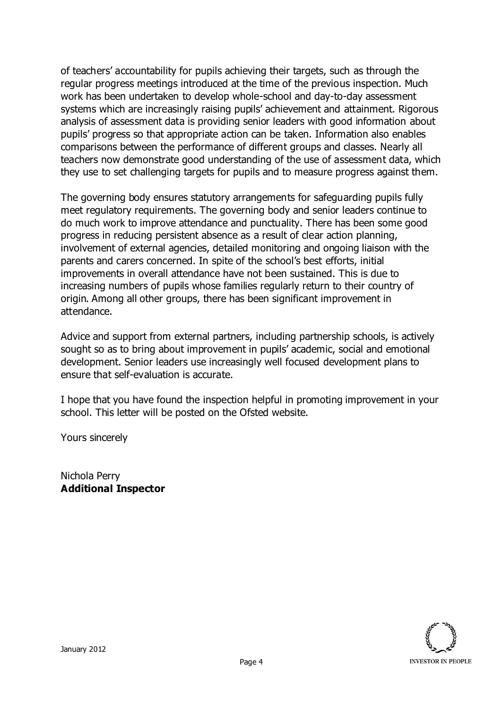of teachers' accountability for pupils achieving their targets, such as through the regular progress meetings introduced at the time of the previous inspection. Much work has been undertaken to develop whole-school and day-to-day assessment systems which are increasingly raising pupils' achievement and attainment. Rigorous analysis of assessment data is providing senior leaders with good information about pupils' progress so that appropriate action can be taken. Information also enables comparisons between the performance of different groups and classes. Nearly all teachers now demonstrate good understanding of the use of assessment data, which they use to set challenging targets for pupils and to measure progress against them.

The governing body ensures statutory arrangements for safeguarding pupils fully meet regulatory requirements. The governing body and senior leaders continue to do much work to improve attendance and punctuality. There has been some good progress in reducing persistent absence as a result of clear action planning, involvement of external agencies, detailed monitoring and ongoing liaison with the parents and carers concerned. In spite of the school's best efforts, initial improvements in overall attendance have not been sustained. This is due to increasing numbers of pupils whose families regularly return to their country of origin. Among all other groups, there has been significant improvement in attendance.

Advice and support from external partners, including partnership schools, is actively sought so as to bring about improvement in pupils' academic, social and emotional development. Senior leaders use increasingly well focused development plans to ensure that self-evaluation is accurate.

I hope that you have found the inspection helpful in promoting improvement in your school. This letter will be posted on the Ofsted website.

Yours sincerely

Nichola Perry **Additional Inspector**